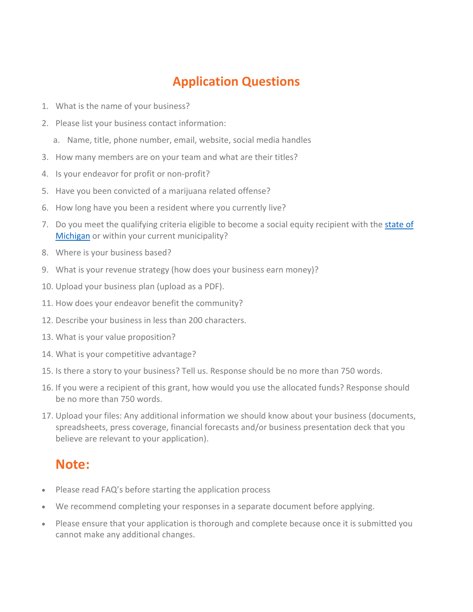## **Application Questions**

- 1. What is the name of your business?
- 2. Please list your business contact information:
	- a. Name, title, phone number, email, website, social media handles
- 3. How many members are on your team and what are their titles?
- 4. Is your endeavor for profit or non-profit?
- 5. Have you been convicted of a marijuana related offense?
- 6. How long have you been a resident where you currently live?
- 7. Do you meet the qualifying criteria eligible to become a social equity recipient with the state of Michigan or within your current municipality?
- 8. Where is your business based?
- 9. What is your revenue strategy (how does your business earn money)?
- 10. Upload your business plan (upload as a PDF).
- 11. How does your endeavor benefit the community?
- 12. Describe your business in less than 200 characters.
- 13. What is your value proposition?
- 14. What is your competitive advantage?
- 15. Is there a story to your business? Tell us. Response should be no more than 750 words.
- 16. If you were a recipient of this grant, how would you use the allocated funds? Response should be no more than 750 words.
- 17. Upload your files: Any additional information we should know about your business (documents, spreadsheets, press coverage, financial forecasts and/or business presentation deck that you believe are relevant to your application).

## **Note:**

- Please read FAQ's before starting the application process
- We recommend completing your responses in a separate document before applying.
- Please ensure that your application is thorough and complete because once it is submitted you cannot make any additional changes.